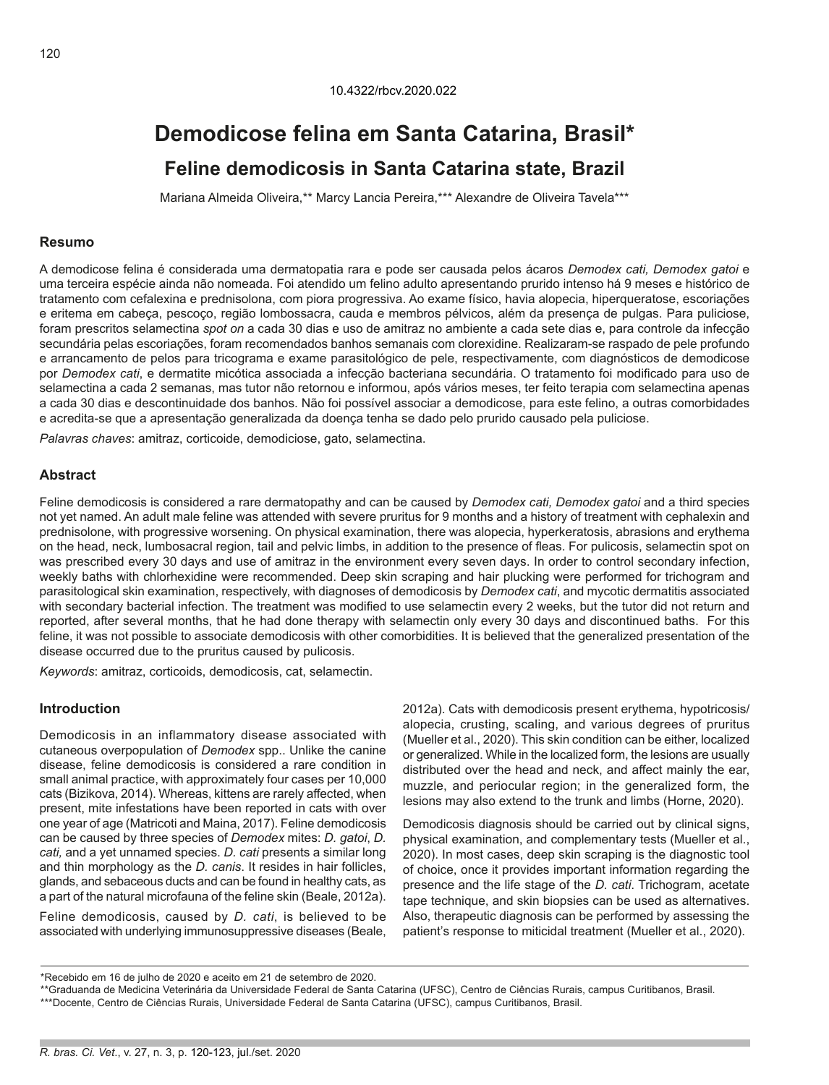# **Demodicose felina em Santa Catarina, Brasil\* Feline demodicosis in Santa Catarina state, Brazil**

Mariana Almeida Oliveira,\*\* Marcy Lancia Pereira,\*\*\* Alexandre de Oliveira Tavela\*\*\*

#### **Resumo**

A demodicose felina é considerada uma dermatopatia rara e pode ser causada pelos ácaros *Demodex cati, Demodex gatoi* e uma terceira espécie ainda não nomeada. Foi atendido um felino adulto apresentando prurido intenso há 9 meses e histórico de tratamento com cefalexina e prednisolona, com piora progressiva. Ao exame físico, havia alopecia, hiperqueratose, escoriações e eritema em cabeça, pescoço, região lombossacra, cauda e membros pélvicos, além da presença de pulgas. Para puliciose, foram prescritos selamectina *spot on* a cada 30 dias e uso de amitraz no ambiente a cada sete dias e, para controle da infecção secundária pelas escoriações, foram recomendados banhos semanais com clorexidine. Realizaram-se raspado de pele profundo e arrancamento de pelos para tricograma e exame parasitológico de pele, respectivamente, com diagnósticos de demodicose por *Demodex cati*, e dermatite micótica associada a infecção bacteriana secundária. O tratamento foi modificado para uso de selamectina a cada 2 semanas, mas tutor não retornou e informou, após vários meses, ter feito terapia com selamectina apenas a cada 30 dias e descontinuidade dos banhos. Não foi possível associar a demodicose, para este felino, a outras comorbidades e acredita-se que a apresentação generalizada da doença tenha se dado pelo prurido causado pela puliciose.

*Palavras chaves*: amitraz, corticoide, demodiciose, gato, selamectina.

# **Abstract**

Feline demodicosis is considered a rare dermatopathy and can be caused by *Demodex cati, Demodex gatoi* and a third species not yet named. An adult male feline was attended with severe pruritus for 9 months and a history of treatment with cephalexin and prednisolone, with progressive worsening. On physical examination, there was alopecia, hyperkeratosis, abrasions and erythema on the head, neck, lumbosacral region, tail and pelvic limbs, in addition to the presence of fleas. For pulicosis, selamectin spot on was prescribed every 30 days and use of amitraz in the environment every seven days. In order to control secondary infection, weekly baths with chlorhexidine were recommended. Deep skin scraping and hair plucking were performed for trichogram and parasitological skin examination, respectively, with diagnoses of demodicosis by *Demodex cati*, and mycotic dermatitis associated with secondary bacterial infection. The treatment was modified to use selamectin every 2 weeks, but the tutor did not return and reported, after several months, that he had done therapy with selamectin only every 30 days and discontinued baths. For this feline, it was not possible to associate demodicosis with other comorbidities. It is believed that the generalized presentation of the disease occurred due to the pruritus caused by pulicosis.

*Keywords*: amitraz, corticoids, demodicosis, cat, selamectin.

#### **Introduction**

Demodicosis in an inflammatory disease associated with cutaneous overpopulation of *Demodex* spp.. Unlike the canine disease, feline demodicosis is considered a rare condition in small animal practice, with approximately four cases per 10,000 cats (Bizikova, 2014). Whereas, kittens are rarely affected, when present, mite infestations have been reported in cats with over one year of age (Matricoti and Maina, 2017). Feline demodicosis can be caused by three species of *Demodex* mites: *D. gatoi*, *D. cati,* and a yet unnamed species. *D. cati* presents a similar long and thin morphology as the *D. canis*. It resides in hair follicles, glands, and sebaceous ducts and can be found in healthy cats, as a part of the natural microfauna of the feline skin (Beale, 2012a).

Feline demodicosis, caused by *D. cati*, is believed to be associated with underlying immunosuppressive diseases (Beale, 2012a). Cats with demodicosis present erythema, hypotricosis/ alopecia, crusting, scaling, and various degrees of pruritus (Mueller et al., 2020). This skin condition can be either, localized or generalized. While in the localized form, the lesions are usually distributed over the head and neck, and affect mainly the ear, muzzle, and periocular region; in the generalized form, the lesions may also extend to the trunk and limbs (Horne, 2020).

Demodicosis diagnosis should be carried out by clinical signs, physical examination, and complementary tests (Mueller et al., 2020). In most cases, deep skin scraping is the diagnostic tool of choice, once it provides important information regarding the presence and the life stage of the *D. cati*. Trichogram, acetate tape technique, and skin biopsies can be used as alternatives. Also, therapeutic diagnosis can be performed by assessing the patient's response to miticidal treatment (Mueller et al., 2020).

<sup>\*</sup>Recebido em 16 de julho de 2020 e aceito em 21 de setembro de 2020.

<sup>\*\*</sup>Graduanda de Medicina Veterinária da Universidade Federal de Santa Catarina (UFSC), Centro de Ciências Rurais, campus Curitibanos, Brasil. \*\*\*Docente, Centro de Ciências Rurais, Universidade Federal de Santa Catarina (UFSC), campus Curitibanos, Brasil.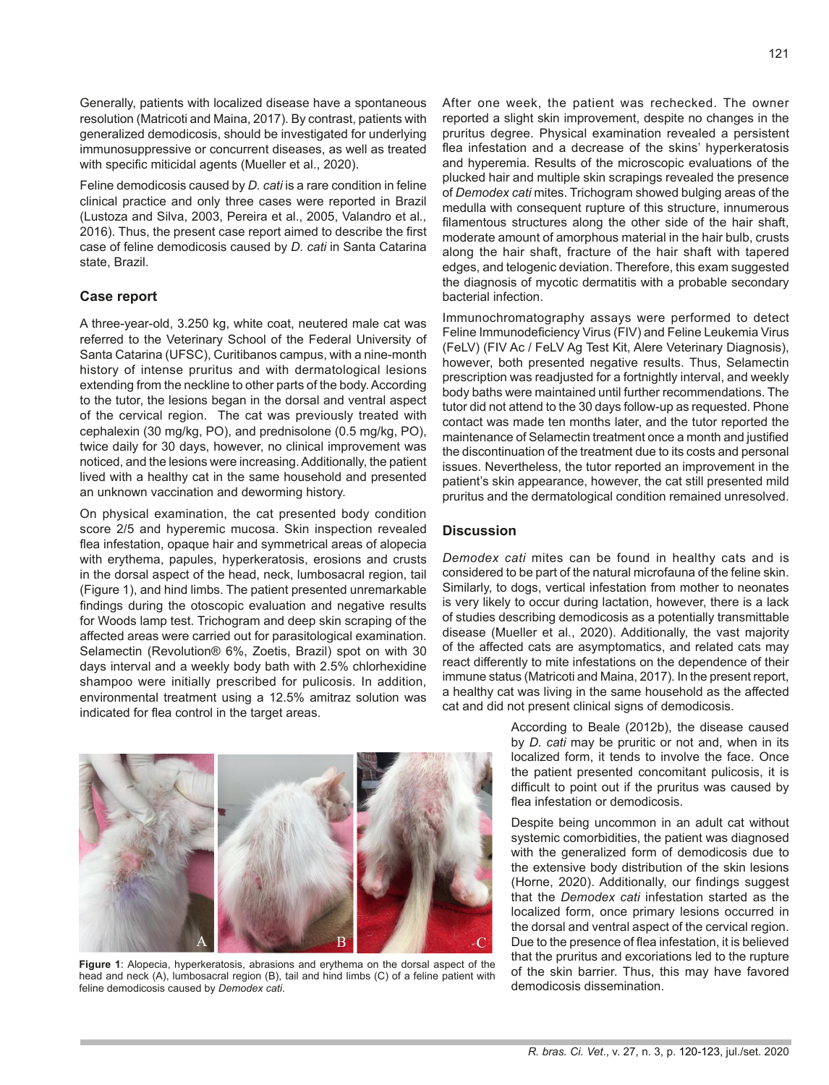Generally, patients with localized disease have a spontaneous resolution (Matricoti and Maina, 2017). By contrast, patients with generalized demodicosis, should be investigated for underlying immunosuppressive or concurrent diseases, as well as treated with specific miticidal agents (Mueller et al., 2020).

Feline demodicosis caused by *D. cati* is a rare condition in feline clinical practice and only three cases were reported in Brazil (Lustoza and Silva, 2003, Pereira et al., 2005, Valandro et al*.,*  2016). Thus, the present case report aimed to describe the first case of feline demodicosis caused by *D. cati* in Santa Catarina state, Brazil.

# **Case report**

A three-year-old, 3.250 kg, white coat, neutered male cat was referred to the Veterinary School of the Federal University of Santa Catarina (UFSC), Curitibanos campus, with a nine-month history of intense pruritus and with dermatological lesions extending from the neckline to other parts of the body. According to the tutor, the lesions began in the dorsal and ventral aspect of the cervical region. The cat was previously treated with cephalexin (30 mg/kg, PO), and prednisolone (0.5 mg/kg, PO), twice daily for 30 days, however, no clinical improvement was noticed, and the lesions were increasing. Additionally, the patient lived with a healthy cat in the same household and presented an unknown vaccination and deworming history.

On physical examination, the cat presented body condition score 2/5 and hyperemic mucosa. Skin inspection revealed flea infestation, opaque hair and symmetrical areas of alopecia with erythema, papules, hyperkeratosis, erosions and crusts in the dorsal aspect of the head, neck, lumbosacral region, tail (Figure 1), and hind limbs. The patient presented unremarkable findings during the otoscopic evaluation and negative results for Woods lamp test. Trichogram and deep skin scraping of the affected areas were carried out for parasitological examination. Selamectin (Revolution® 6%, Zoetis, Brazil) spot on with 30 days interval and a weekly body bath with 2.5% chlorhexidine shampoo were initially prescribed for pulicosis. In addition, environmental treatment using a 12.5% amitraz solution was indicated for flea control in the target areas.

After one week, the patient was rechecked. The owner reported a slight skin improvement, despite no changes in the pruritus degree. Physical examination revealed a persistent flea infestation and a decrease of the skins' hyperkeratosis and hyperemia. Results of the microscopic evaluations of the plucked hair and multiple skin scrapings revealed the presence of *Demodex cati* mites. Trichogram showed bulging areas of the medulla with consequent rupture of this structure, innumerous filamentous structures along the other side of the hair shaft, moderate amount of amorphous material in the hair bulb, crusts along the hair shaft, fracture of the hair shaft with tapered edges, and telogenic deviation. Therefore, this exam suggested the diagnosis of mycotic dermatitis with a probable secondary bacterial infection.

Immunochromatography assays were performed to detect Feline Immunodeficiency Virus (FIV) and Feline Leukemia Virus (FeLV) (FIV Ac / FeLV Ag Test Kit, Alere Veterinary Diagnosis), however, both presented negative results. Thus, Selamectin prescription was readjusted for a fortnightly interval, and weekly body baths were maintained until further recommendations. The tutor did not attend to the 30 days follow-up as requested. Phone contact was made ten months later, and the tutor reported the maintenance of Selamectin treatment once a month and justified the discontinuation of the treatment due to its costs and personal issues. Nevertheless, the tutor reported an improvement in the patient's skin appearance, however, the cat still presented mild pruritus and the dermatological condition remained unresolved.

### **Discussion**

*Demodex cati* mites can be found in healthy cats and is considered to be part of the natural microfauna of the feline skin. Similarly, to dogs, vertical infestation from mother to neonates is very likely to occur during lactation, however, there is a lack of studies describing demodicosis as a potentially transmittable disease (Mueller et al., 2020). Additionally, the vast majority of the affected cats are asymptomatics, and related cats may react differently to mite infestations on the dependence of their immune status (Matricoti and Maina, 2017). In the present report, a healthy cat was living in the same household as the affected cat and did not present clinical signs of demodicosis.

> According to Beale (2012b), the disease caused by *D. cati* may be pruritic or not and, when in its localized form, it tends to involve the face. Once the patient presented concomitant pulicosis, it is difficult to point out if the pruritus was caused by flea infestation or demodicosis.

> Despite being uncommon in an adult cat without systemic comorbidities, the patient was diagnosed with the generalized form of demodicosis due to the extensive body distribution of the skin lesions (Horne, 2020). Additionally, our findings suggest that the *Demodex cati* infestation started as the localized form, once primary lesions occurred in the dorsal and ventral aspect of the cervical region. Due to the presence of flea infestation, it is believed that the pruritus and excoriations led to the rupture of the skin barrier. Thus, this may have favored demodicosis dissemination.

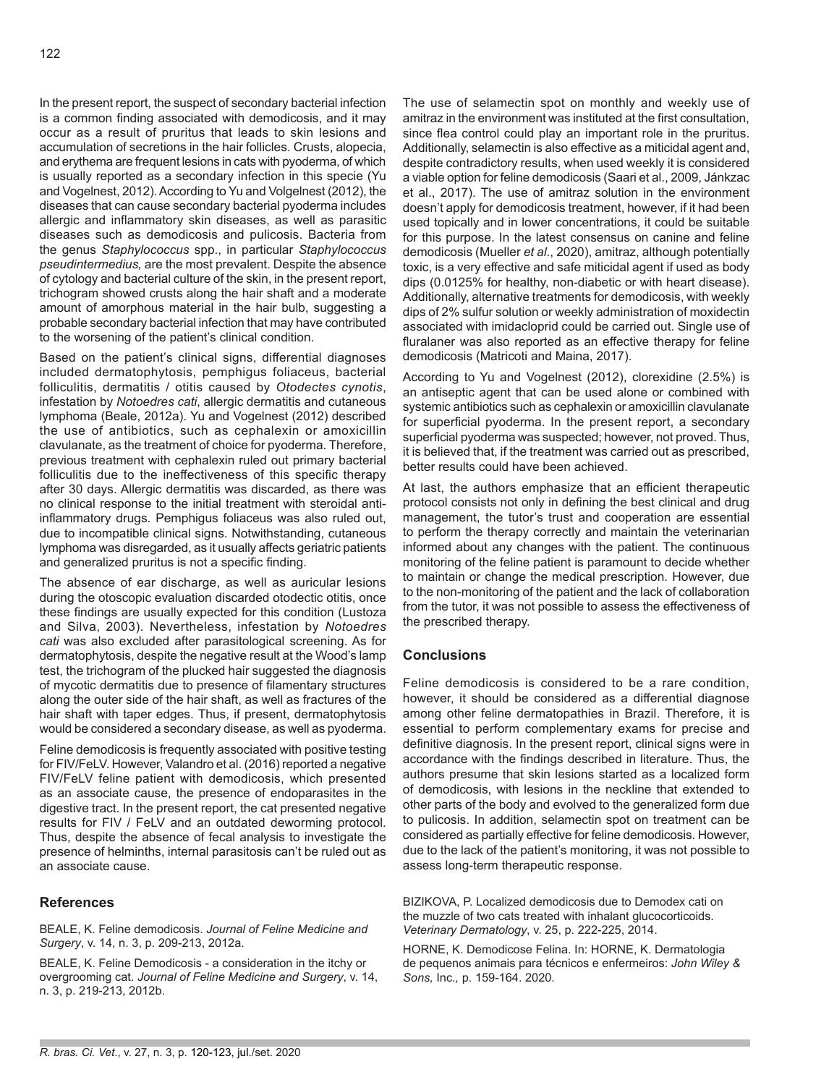In the present report, the suspect of secondary bacterial infection is a common finding associated with demodicosis, and it may occur as a result of pruritus that leads to skin lesions and accumulation of secretions in the hair follicles. Crusts, alopecia, and erythema are frequent lesions in cats with pyoderma, of which is usually reported as a secondary infection in this specie (Yu and Vogelnest, 2012). According to Yu and Volgelnest (2012), the diseases that can cause secondary bacterial pyoderma includes allergic and inflammatory skin diseases, as well as parasitic diseases such as demodicosis and pulicosis. Bacteria from the genus *Staphylococcus* spp., in particular *Staphylococcus pseudintermedius,* are the most prevalent. Despite the absence of cytology and bacterial culture of the skin, in the present report, trichogram showed crusts along the hair shaft and a moderate amount of amorphous material in the hair bulb, suggesting a probable secondary bacterial infection that may have contributed to the worsening of the patient's clinical condition.

Based on the patient's clinical signs, differential diagnoses included dermatophytosis, pemphigus foliaceus, bacterial folliculitis, dermatitis / otitis caused by *Otodectes cynotis*, infestation by *Notoedres cati*, allergic dermatitis and cutaneous lymphoma (Beale, 2012a). Yu and Vogelnest (2012) described the use of antibiotics, such as cephalexin or amoxicillin clavulanate, as the treatment of choice for pyoderma. Therefore, previous treatment with cephalexin ruled out primary bacterial folliculitis due to the ineffectiveness of this specific therapy after 30 days. Allergic dermatitis was discarded, as there was no clinical response to the initial treatment with steroidal antiinflammatory drugs. Pemphigus foliaceus was also ruled out, due to incompatible clinical signs. Notwithstanding, cutaneous lymphoma was disregarded, as it usually affects geriatric patients and generalized pruritus is not a specific finding.

The absence of ear discharge, as well as auricular lesions during the otoscopic evaluation discarded otodectic otitis, once these findings are usually expected for this condition (Lustoza and Silva, 2003). Nevertheless, infestation by *Notoedres cati* was also excluded after parasitological screening. As for dermatophytosis, despite the negative result at the Wood's lamp test, the trichogram of the plucked hair suggested the diagnosis of mycotic dermatitis due to presence of filamentary structures along the outer side of the hair shaft, as well as fractures of the hair shaft with taper edges. Thus, if present, dermatophytosis would be considered a secondary disease, as well as pyoderma.

Feline demodicosis is frequently associated with positive testing for FIV/FeLV. However, Valandro et al. (2016) reported a negative FIV/FeLV feline patient with demodicosis, which presented as an associate cause, the presence of endoparasites in the digestive tract. In the present report, the cat presented negative results for FIV / FeLV and an outdated deworming protocol. Thus, despite the absence of fecal analysis to investigate the presence of helminths, internal parasitosis can't be ruled out as an associate cause.

## **References**

BEALE, K. Feline demodicosis. *Journal of Feline Medicine and Surgery*, v. 14, n. 3, p. 209-213, 2012a.

BEALE, K. Feline Demodicosis - a consideration in the itchy or overgrooming cat. *Journal of Feline Medicine and Surgery*, v. 14, n. 3, p. 219-213, 2012b.

The use of selamectin spot on monthly and weekly use of amitraz in the environment was instituted at the first consultation, since flea control could play an important role in the pruritus. Additionally, selamectin is also effective as a miticidal agent and, despite contradictory results, when used weekly it is considered a viable option for feline demodicosis (Saari et al., 2009, Jánkzac et al., 2017). The use of amitraz solution in the environment doesn't apply for demodicosis treatment, however, if it had been used topically and in lower concentrations, it could be suitable for this purpose. In the latest consensus on canine and feline demodicosis (Mueller *et al*., 2020), amitraz, although potentially toxic, is a very effective and safe miticidal agent if used as body dips (0.0125% for healthy, non-diabetic or with heart disease). Additionally, alternative treatments for demodicosis, with weekly dips of 2% sulfur solution or weekly administration of moxidectin associated with imidacloprid could be carried out. Single use of fluralaner was also reported as an effective therapy for feline demodicosis (Matricoti and Maina, 2017).

According to Yu and Vogelnest (2012), clorexidine (2.5%) is an antiseptic agent that can be used alone or combined with systemic antibiotics such as cephalexin or amoxicillin clavulanate for superficial pyoderma. In the present report, a secondary superficial pyoderma was suspected; however, not proved. Thus, it is believed that, if the treatment was carried out as prescribed, better results could have been achieved.

At last, the authors emphasize that an efficient therapeutic protocol consists not only in defining the best clinical and drug management, the tutor's trust and cooperation are essential to perform the therapy correctly and maintain the veterinarian informed about any changes with the patient. The continuous monitoring of the feline patient is paramount to decide whether to maintain or change the medical prescription. However, due to the non-monitoring of the patient and the lack of collaboration from the tutor, it was not possible to assess the effectiveness of the prescribed therapy.

## **Conclusions**

Feline demodicosis is considered to be a rare condition, however, it should be considered as a differential diagnose among other feline dermatopathies in Brazil. Therefore, it is essential to perform complementary exams for precise and definitive diagnosis. In the present report, clinical signs were in accordance with the findings described in literature. Thus, the authors presume that skin lesions started as a localized form of demodicosis, with lesions in the neckline that extended to other parts of the body and evolved to the generalized form due to pulicosis. In addition, selamectin spot on treatment can be considered as partially effective for feline demodicosis. However, due to the lack of the patient's monitoring, it was not possible to assess long-term therapeutic response.

BIZIKOVA, P. Localized demodicosis due to Demodex cati on the muzzle of two cats treated with inhalant glucocorticoids. *Veterinary Dermatology*, v. 25, p. 222-225, 2014.

HORNE, K. Demodicose Felina. In: HORNE, K. Dermatologia de pequenos animais para técnicos e enfermeiros: *John Wiley & Sons,* Inc.*,* p. 159-164. 2020.